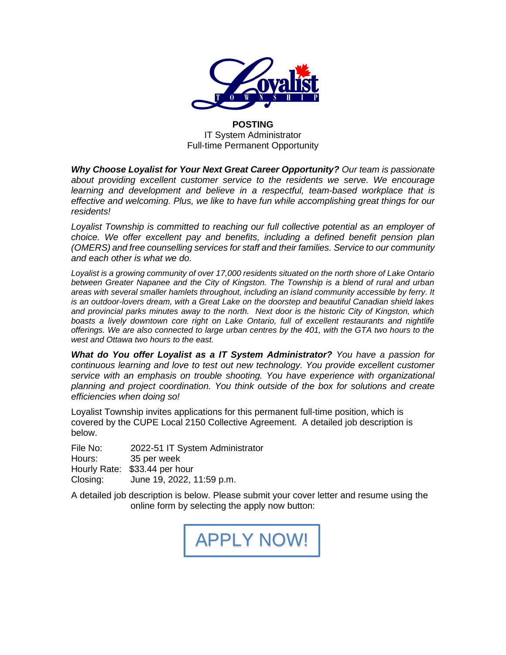

**POSTING**  IT System Administrator Full-time Permanent Opportunity

*Why Choose Loyalist for Your Next Great Career Opportunity? Our team is passionate about providing excellent customer service to the residents we serve. We encourage learning and development and believe in a respectful, team-based workplace that is effective and welcoming. Plus, we like to have fun while accomplishing great things for our residents!*

Loyalist Township is committed to reaching our full collective potential as an employer of *choice. We offer excellent pay and benefits, including a defined benefit pension plan (OMERS) and free counselling services for staff and their families. Service to our community and each other is what we do.*

*Loyalist is a growing community of over 17,000 residents situated on the north shore of Lake Ontario between Greater Napanee and the City of Kingston. The Township is a blend of rural and urban areas with several smaller hamlets throughout, including an island community accessible by ferry. It is an outdoor-lovers dream, with a Great Lake on the doorstep and beautiful Canadian shield lakes and provincial parks minutes away to the north. Next door is the historic City of Kingston, which*  boasts a lively downtown core right on Lake Ontario, full of excellent restaurants and nightlife *offerings. We are also connected to large urban centres by the 401, with the GTA two hours to the west and Ottawa two hours to the east.* 

*What do You offer Loyalist as a IT System Administrator? You have a passion for continuous learning and love to test out new technology. You provide excellent customer service with an emphasis on trouble shooting. You have experience with organizational planning and project coordination. You think outside of the box for solutions and create efficiencies when doing so!* 

Loyalist Township invites applications for this permanent full-time position, which is covered by the CUPE Local 2150 Collective Agreement. A detailed job description is below.

File No: 2022-51 IT System Administrator Hours: 35 per week Hourly Rate: \$33.44 per hour Closing: June 19, 2022, 11:59 p.m.

A detailed job description is below. Please submit your cover letter and resume using the online form by selecting the apply now button:

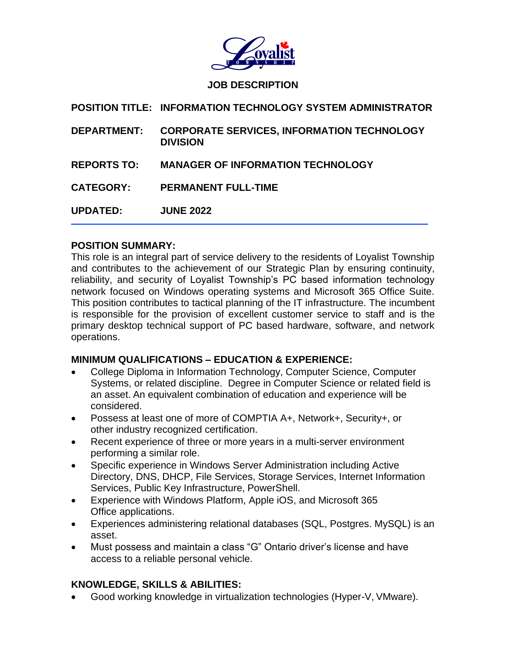

#### **JOB DESCRIPTION**

| <b>POSITION TITLE: INFORMATION TECHNOLOGY SYSTEM ADMINISTRATOR</b>        |
|---------------------------------------------------------------------------|
| DEPARTMENT: CORPORATE SERVICES, INFORMATION TECHNOLOGY<br><b>DIVISION</b> |
|                                                                           |

**REPORTS TO: MANAGER OF INFORMATION TECHNOLOGY** 

**UPDATED: JUNE 2022**

#### **POSITION SUMMARY:**

This role is an integral part of service delivery to the residents of Loyalist Township and contributes to the achievement of our Strategic Plan by ensuring continuity, reliability, and security of Loyalist Township's PC based information technology network focused on Windows operating systems and Microsoft 365 Office Suite. This position contributes to tactical planning of the IT infrastructure. The incumbent is responsible for the provision of excellent customer service to staff and is the primary desktop technical support of PC based hardware, software, and network operations.

## **MINIMUM QUALIFICATIONS – EDUCATION & EXPERIENCE:**

- College Diploma in Information Technology, Computer Science, Computer Systems, or related discipline. Degree in Computer Science or related field is an asset. An equivalent combination of education and experience will be considered.
- Possess at least one of more of COMPTIA A+, Network+, Security+, or other industry recognized certification.
- Recent experience of three or more years in a multi-server environment performing a similar role.
- Specific experience in Windows Server Administration including Active Directory, DNS, DHCP, File Services, Storage Services, Internet Information Services, Public Key Infrastructure, PowerShell.
- Experience with Windows Platform, Apple iOS, and Microsoft 365 Office applications.
- Experiences administering relational databases (SQL, Postgres. MySQL) is an asset.
- Must possess and maintain a class "G" Ontario driver's license and have access to a reliable personal vehicle.

## **KNOWLEDGE, SKILLS & ABILITIES:**

• Good working knowledge in virtualization technologies (Hyper-V, VMware).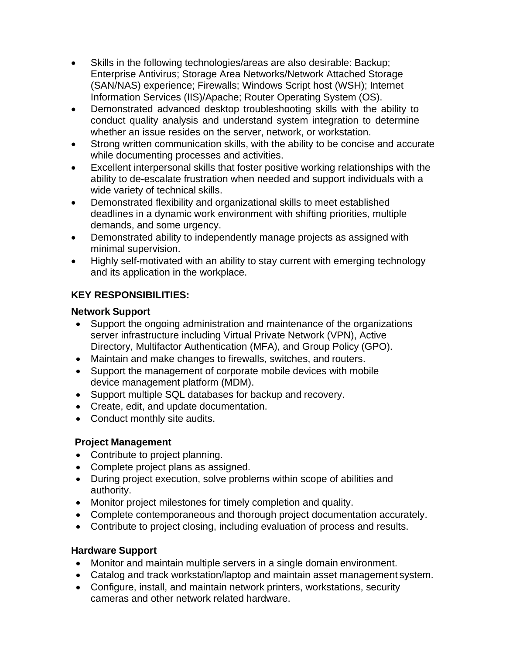- Skills in the following technologies/areas are also desirable: Backup; Enterprise Antivirus; Storage Area Networks/Network Attached Storage (SAN/NAS) experience; Firewalls; Windows Script host (WSH); Internet Information Services (IIS)/Apache; Router Operating System (OS).
- Demonstrated advanced desktop troubleshooting skills with the ability to conduct quality analysis and understand system integration to determine whether an issue resides on the server, network, or workstation.
- Strong written communication skills, with the ability to be concise and accurate while documenting processes and activities.
- Excellent interpersonal skills that foster positive working relationships with the ability to de-escalate frustration when needed and support individuals with a wide variety of technical skills.
- Demonstrated flexibility and organizational skills to meet established deadlines in a dynamic work environment with shifting priorities, multiple demands, and some urgency.
- Demonstrated ability to independently manage projects as assigned with minimal supervision.
- Highly self-motivated with an ability to stay current with emerging technology and its application in the workplace.

# **KEY RESPONSIBILITIES:**

## **Network Support**

- Support the ongoing administration and maintenance of the organizations server infrastructure including Virtual Private Network (VPN), Active Directory, Multifactor Authentication (MFA), and Group Policy (GPO).
- Maintain and make changes to firewalls, switches, and routers.
- Support the management of corporate mobile devices with mobile device management platform (MDM).
- Support multiple SQL databases for backup and recovery.
- Create, edit, and update documentation.
- Conduct monthly site audits.

# **Project Management**

- Contribute to project planning.
- Complete project plans as assigned.
- During project execution, solve problems within scope of abilities and authority.
- Monitor project milestones for timely completion and quality.
- Complete contemporaneous and thorough project documentation accurately.
- Contribute to project closing, including evaluation of process and results.

## **Hardware Support**

- Monitor and maintain multiple servers in a single domain environment.
- Catalog and track workstation/laptop and maintain asset management system.
- Configure, install, and maintain network printers, workstations, security cameras and other network related hardware.